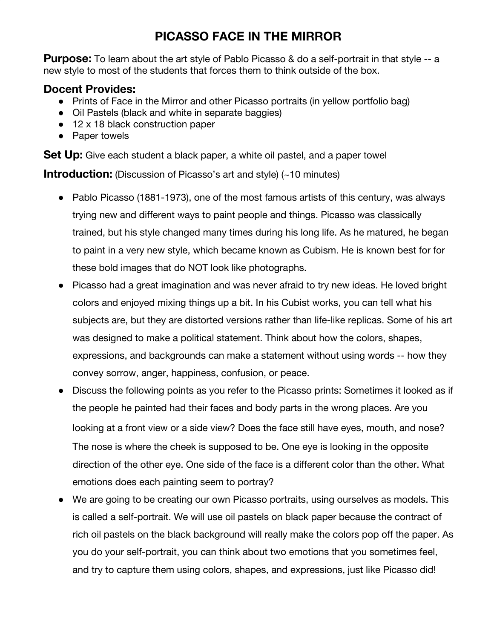## **PICASSO FACE IN THE MIRROR**

**Purpose:** To learn about the art style of Pablo Picasso & do a self-portrait in that style -- a new style to most of the students that forces them to think outside of the box.

## **Docent Provides:**

- Prints of Face in the Mirror and other Picasso portraits (in yellow portfolio bag)
- Oil Pastels (black and white in separate baggies)
- 12 x 18 black construction paper
- Paper towels

**Set Up:** Give each student a black paper, a white oil pastel, and a paper towel

**Introduction:** (Discussion of Picasso's art and style) (~10 minutes)

- Pablo Picasso (1881-1973), one of the most famous artists of this century, was always trying new and different ways to paint people and things. Picasso was classically trained, but his style changed many times during his long life. As he matured, he began to paint in a very new style, which became known as Cubism. He is known best for for these bold images that do NOT look like photographs.
- Picasso had a great imagination and was never afraid to try new ideas. He loved bright colors and enjoyed mixing things up a bit. In his Cubist works, you can tell what his subjects are, but they are distorted versions rather than life-like replicas. Some of his art was designed to make a political statement. Think about how the colors, shapes, expressions, and backgrounds can make a statement without using words -- how they convey sorrow, anger, happiness, confusion, or peace.
- Discuss the following points as you refer to the Picasso prints: Sometimes it looked as if the people he painted had their faces and body parts in the wrong places. Are you looking at a front view or a side view? Does the face still have eyes, mouth, and nose? The nose is where the cheek is supposed to be. One eye is looking in the opposite direction of the other eye. One side of the face is a different color than the other. What emotions does each painting seem to portray?
- We are going to be creating our own Picasso portraits, using ourselves as models. This is called a self-portrait. We will use oil pastels on black paper because the contract of rich oil pastels on the black background will really make the colors pop off the paper. As you do your self-portrait, you can think about two emotions that you sometimes feel, and try to capture them using colors, shapes, and expressions, just like Picasso did!